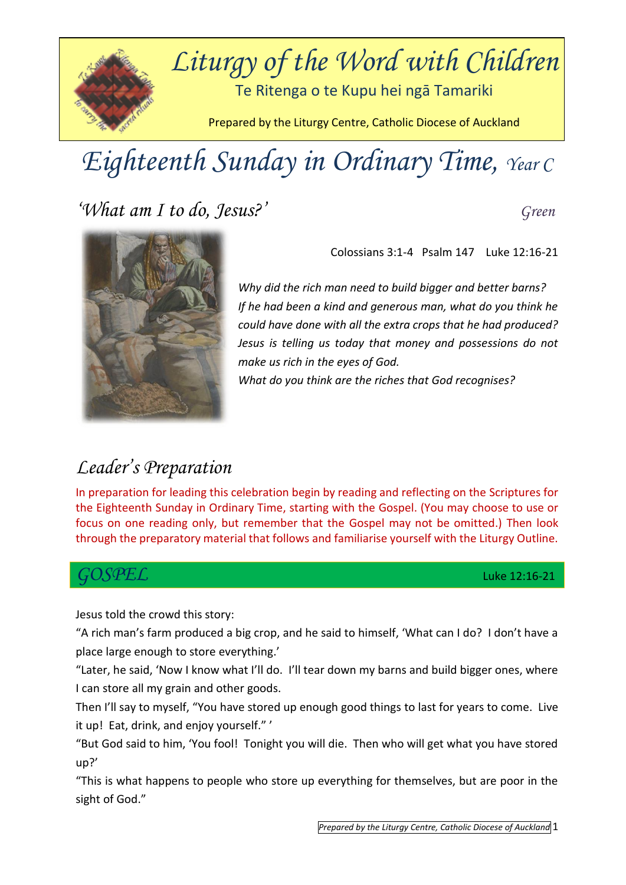

# *Eighteenth Sunday in Ordinary Time, Year C*

*'What am I to do, Jesus?' Green*



Colossians 3:1-4Psalm 147 Luke 12:16-21

*Why did the rich man need to build bigger and better barns? If he had been a kind and generous man, what do you think he could have done with all the extra crops that he had produced? Jesus is telling us today that money and possessions do not make us rich in the eyes of God.* 

*What do you think are the riches that God recognises?* 

### *Leader's Preparation*

In preparation for leading this celebration begin by reading and reflecting on the Scriptures for the Eighteenth Sunday in Ordinary Time, starting with the Gospel. (You may choose to use or focus on one reading only, but remember that the Gospel may not be omitted.) Then look through the preparatory material that follows and familiarise yourself with the Liturgy Outline.

#### *GOSPEL* Luke 12:16-21

Jesus told the crowd this story:

"A rich man's farm produced a big crop, and he said to himself, 'What can I do? I don't have a place large enough to store everything.'

"Later, he said, 'Now I know what I'll do. I'll tear down my barns and build bigger ones, where I can store all my grain and other goods.

Then I'll say to myself, "You have stored up enough good things to last for years to come. Live it up! Eat, drink, and enjoy yourself." '

"But God said to him, 'You fool! Tonight you will die. Then who will get what you have stored up?'

"This is what happens to people who store up everything for themselves, but are poor in the sight of God."

*Prepared by the Liturgy Centre, Catholic Diocese of Auckland* 1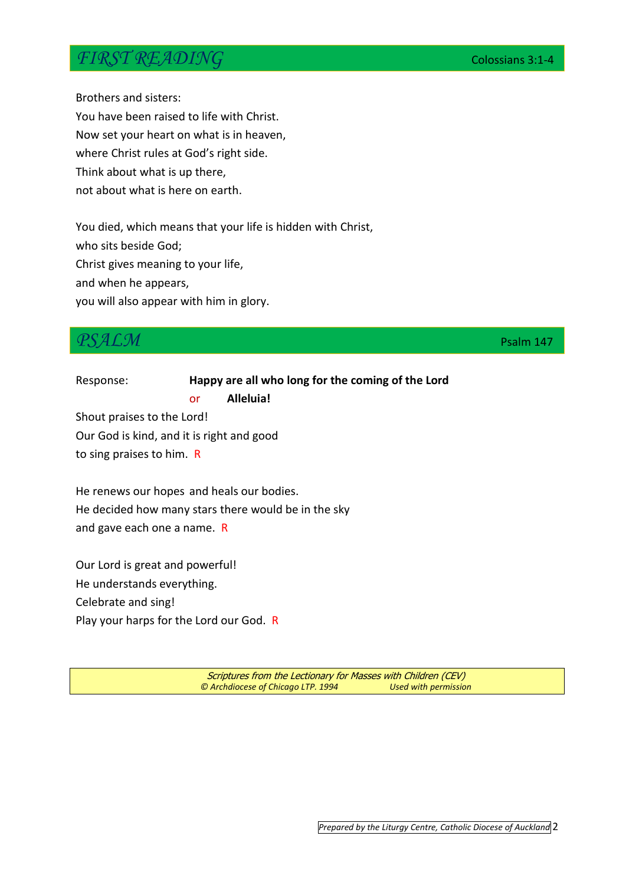#### *FIRST READING* Colossians 3:1-4

Brothers and sisters:

You have been raised to life with Christ. Now set your heart on what is in heaven, where Christ rules at God's right side. Think about what is up there, not about what is here on earth.

You died, which means that your life is hidden with Christ, who sits beside God; Christ gives meaning to your life, and when he appears, you will also appear with him in glory.

### *PSALM* Property of the contract of the contract of the contract of the property of the Psalm 147

Response: **Happy are all who long for the coming of the Lord** or **Alleluia!** Shout praises to the Lord! Our God is kind, and it is right and good to sing praises to him. R

He renews our hopes and heals our bodies. He decided how many stars there would be in the sky and gave each one a name. R

Our Lord is great and powerful! He understands everything. Celebrate and sing! Play your harps for the Lord our God. R

> Scriptures from the Lectionary for Masses with Children (CEV) *© Archdiocese of Chicago LTP. 1994 Used with permission*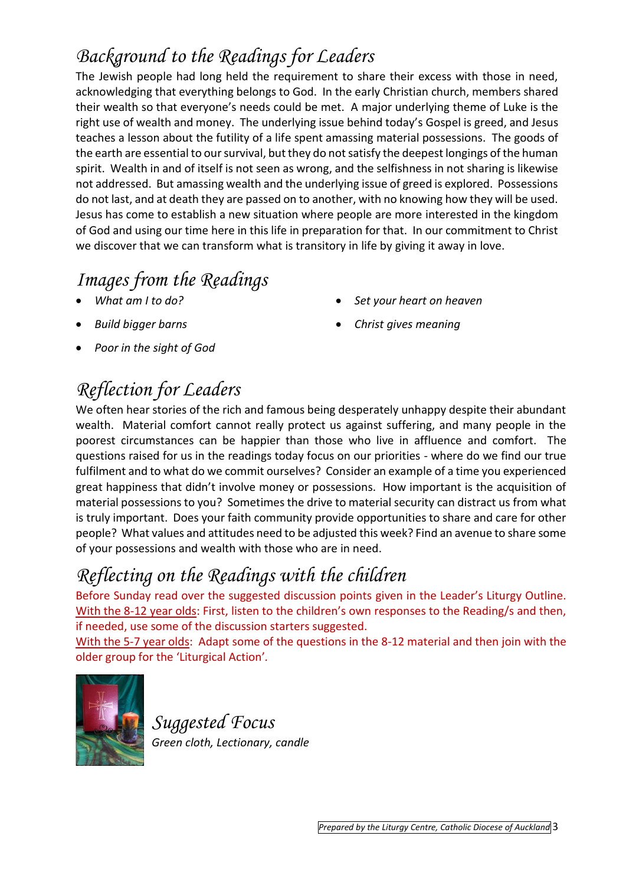## *Background to the Readings for Leaders*

The Jewish people had long held the requirement to share their excess with those in need, acknowledging that everything belongs to God. In the early Christian church, members shared their wealth so that everyone's needs could be met. A major underlying theme of Luke is the right use of wealth and money. The underlying issue behind today's Gospel is greed, and Jesus teaches a lesson about the futility of a life spent amassing material possessions. The goods of the earth are essential to our survival, but they do not satisfy the deepest longings of the human spirit. Wealth in and of itself is not seen as wrong, and the selfishness in not sharing is likewise not addressed. But amassing wealth and the underlying issue of greed is explored. Possessions do not last, and at death they are passed on to another, with no knowing how they will be used. Jesus has come to establish a new situation where people are more interested in the kingdom of God and using our time here in this life in preparation for that. In our commitment to Christ we discover that we can transform what is transitory in life by giving it away in love.

## *Images from the Readings*

- *What am I to do?*
- *Build bigger barns*
- *Poor in the sight of God*

# *Reflection for Leaders*

We often hear stories of the rich and famous being desperately unhappy despite their abundant wealth. Material comfort cannot really protect us against suffering, and many people in the poorest circumstances can be happier than those who live in affluence and comfort. The questions raised for us in the readings today focus on our priorities - where do we find our true fulfilment and to what do we commit ourselves? Consider an example of a time you experienced great happiness that didn't involve money or possessions. How important is the acquisition of material possessions to you? Sometimes the drive to material security can distract us from what is truly important. Does your faith community provide opportunities to share and care for other people? What values and attitudes need to be adjusted this week? Find an avenue to share some of your possessions and wealth with those who are in need.

# *Reflecting on the Readings with the children*

Before Sunday read over the suggested discussion points given in the Leader's Liturgy Outline. With the 8-12 year olds: First, listen to the children's own responses to the Reading/s and then, if needed, use some of the discussion starters suggested.

With the 5-7 year olds: Adapt some of the questions in the 8-12 material and then join with the older group for the 'Liturgical Action'*.* 



*Suggested Focus Green cloth, Lectionary, candle*

- *Set your heart on heaven*
- *Christ gives meaning*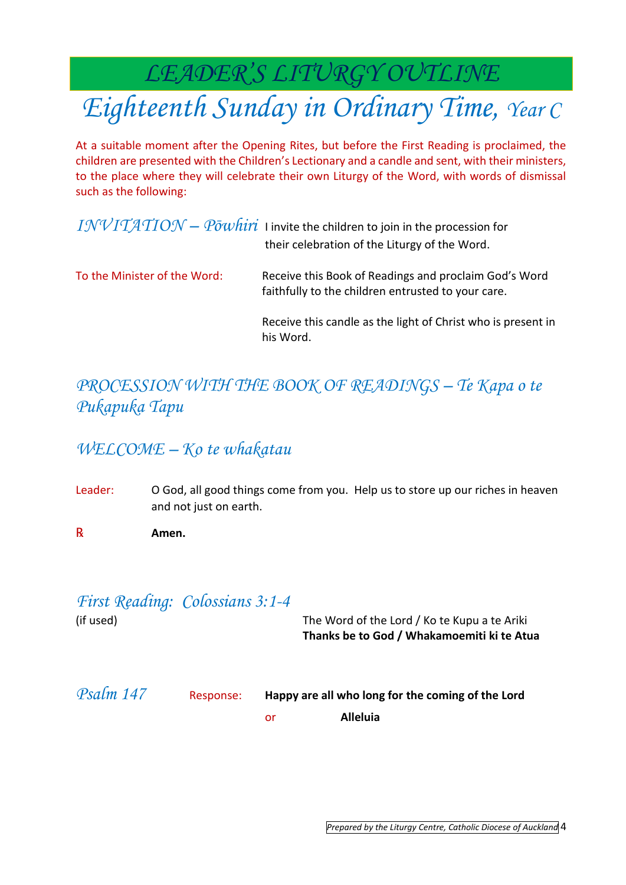*LEADER'S LITURGY OUTLINE*

# *Eighteenth Sunday in Ordinary Time, Year C*

At a suitable moment after the Opening Rites, but before the First Reading is proclaimed, the children are presented with the Children's Lectionary and a candle and sent, with their ministers, to the place where they will celebrate their own Liturgy of the Word, with words of dismissal such as the following:

|                              | $INVITATION - P\overline{o}whiri$ I invite the children to join in the procession for<br>their celebration of the Liturgy of the Word. |
|------------------------------|----------------------------------------------------------------------------------------------------------------------------------------|
| To the Minister of the Word: | Receive this Book of Readings and proclaim God's Word<br>faithfully to the children entrusted to your care.                            |
|                              | Receive this candle as the light of Christ who is present in<br>his Word.                                                              |

#### *PROCESSION WITH THE BOOK OF READINGS – Te Kapa o te Pukapuka Tapu*

#### *WELCOME – Ko te whakatau*

- Leader: O God, all good things come from you. Help us to store up our riches in heaven and not just on earth.
- ℞ **Amen.**

# *First Reading: Colossians 3:1-4*

(if used) The Word of the Lord / Ko te Kupu a te Ariki **Thanks be to God / Whakamoemiti ki te Atua**

*Psalm 147* Response: **Happy are all who long for the coming of the Lord** or **Alleluia**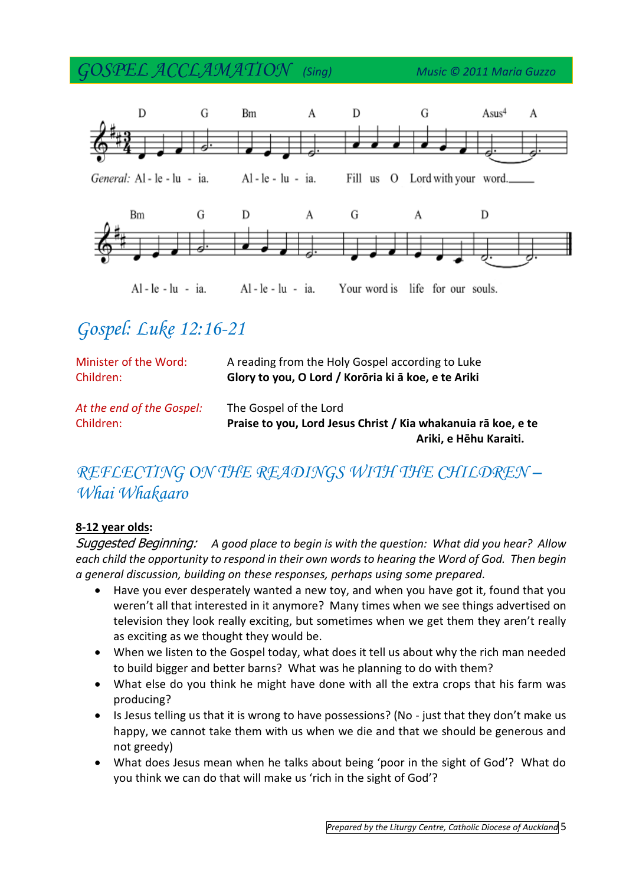*GOSPEL ACCLAMATION (Sing) Music © 2011 Maria Guzzo*



## *Gospel: Luke 12:16-21*

| Minister of the Word:                  | A reading from the Holy Gospel according to Luke                                                                  |
|----------------------------------------|-------------------------------------------------------------------------------------------------------------------|
| Children:                              | Glory to you, O Lord / Korōria ki ā koe, e te Ariki                                                               |
| At the end of the Gospel:<br>Children: | The Gospel of the Lord<br>Praise to you, Lord Jesus Christ / Kia whakanuia rā koe, e te<br>Ariki, e Hēhu Karaiti. |

#### *REFLECTING ON THE READINGS WITH THE CHILDREN – Whai Whakaaro*

#### **8-12 year olds:**

Suggested Beginning: *A good place to begin is with the question: What did you hear? Allow each child the opportunity to respond in their own words to hearing the Word of God. Then begin a general discussion, building on these responses, perhaps using some prepared.* 

- Have you ever desperately wanted a new toy, and when you have got it, found that you weren't all that interested in it anymore? Many times when we see things advertised on television they look really exciting, but sometimes when we get them they aren't really as exciting as we thought they would be.
- When we listen to the Gospel today, what does it tell us about why the rich man needed to build bigger and better barns? What was he planning to do with them?
- What else do you think he might have done with all the extra crops that his farm was producing?
- Is Jesus telling us that it is wrong to have possessions? (No just that they don't make us happy, we cannot take them with us when we die and that we should be generous and not greedy)
- What does Jesus mean when he talks about being 'poor in the sight of God'? What do you think we can do that will make us 'rich in the sight of God'?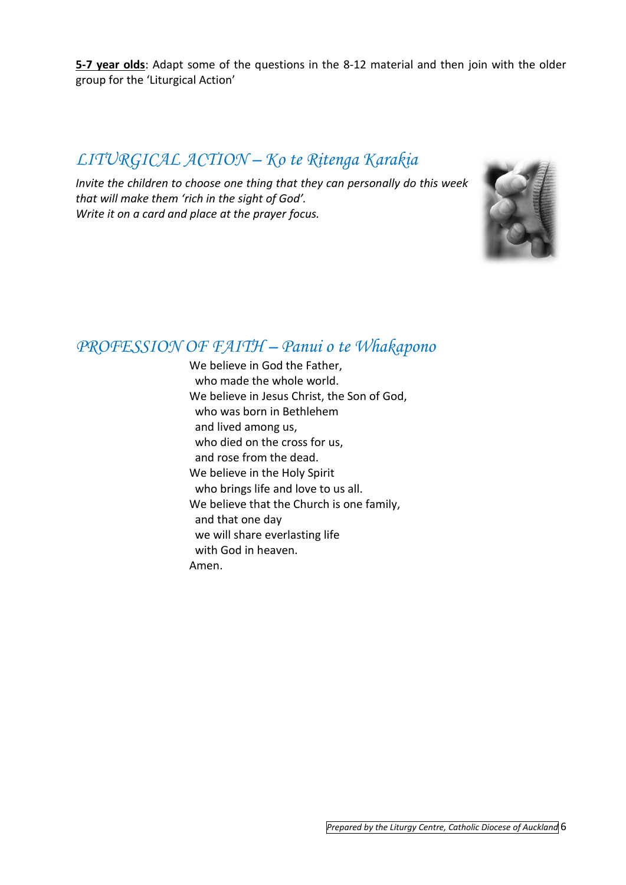**5-7 year olds**: Adapt some of the questions in the 8-12 material and then join with the older group for the 'Liturgical Action'

#### *LITURGICAL ACTION – Ko te Ritenga Karakia*

*Invite the children to choose one thing that they can personally do this week that will make them 'rich in the sight of God'. Write it on a card and place at the prayer focus.*



#### *PROFESSION OF FAITH – Panui o te Whakapono*

We believe in God the Father, who made the whole world. We believe in Jesus Christ, the Son of God, who was born in Bethlehem and lived among us, who died on the cross for us, and rose from the dead. We believe in the Holy Spirit who brings life and love to us all. We believe that the Church is one family, and that one day we will share everlasting life with God in heaven. Amen.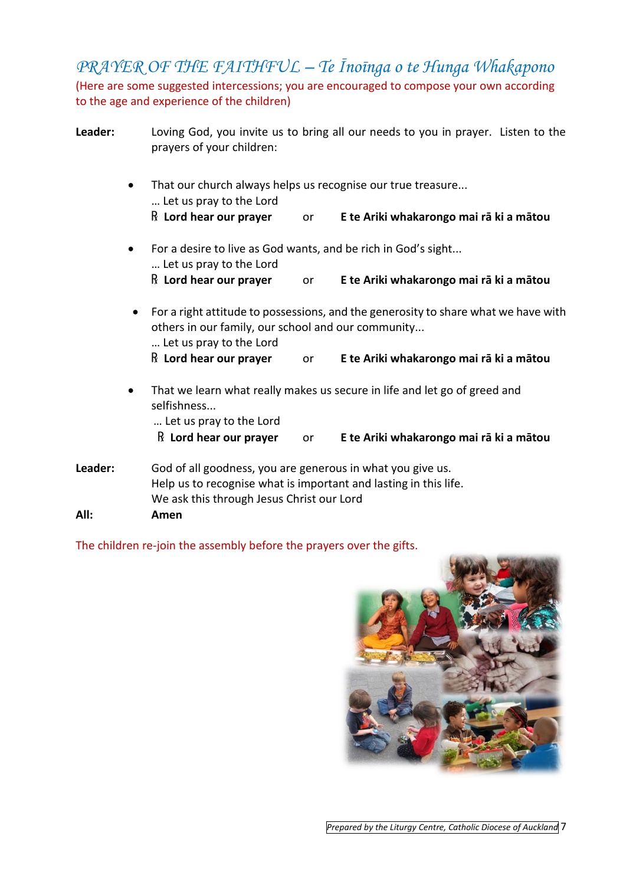*PRAYER OF THE FAITHFUL – Te Īnoīnga o te Hunga Whakapono* (Here are some suggested intercessions; you are encouraged to compose your own according to the age and experience of the children)

| Leader: | Loving God, you invite us to bring all our needs to you in prayer. Listen to the<br>prayers of your children: |                                                                                                                                                                             |    |                                                                           |  |  |
|---------|---------------------------------------------------------------------------------------------------------------|-----------------------------------------------------------------------------------------------------------------------------------------------------------------------------|----|---------------------------------------------------------------------------|--|--|
|         | That our church always helps us recognise our true treasure<br>$\bullet$<br>Let us pray to the Lord           |                                                                                                                                                                             |    |                                                                           |  |  |
|         |                                                                                                               | $\mathbb R$ Lord hear our prayer                                                                                                                                            | or | E te Ariki whakarongo mai rā ki a mātou                                   |  |  |
|         | $\bullet$                                                                                                     | For a desire to live as God wants, and be rich in God's sight<br>Let us pray to the Lord                                                                                    |    |                                                                           |  |  |
|         |                                                                                                               | $\mathbb R$ Lord hear our prayer                                                                                                                                            | or | E te Ariki whakarongo mai rā ki a mātou                                   |  |  |
|         |                                                                                                               | For a right attitude to possessions, and the generosity to share what we have with<br>others in our family, our school and our community<br>Let us pray to the Lord         |    |                                                                           |  |  |
|         |                                                                                                               | $\mathbb R$ Lord hear our prayer                                                                                                                                            | or | E te Ariki whakarongo mai rā ki a mātou                                   |  |  |
|         | $\bullet$                                                                                                     | selfishness<br>Let us pray to the Lord                                                                                                                                      |    | That we learn what really makes us secure in life and let go of greed and |  |  |
|         |                                                                                                               | $\mathbb R$ Lord hear our prayer                                                                                                                                            | or | E te Ariki whakarongo mai rā ki a mātou                                   |  |  |
| Leader: |                                                                                                               | God of all goodness, you are generous in what you give us.<br>Help us to recognise what is important and lasting in this life.<br>We ask this through Jesus Christ our Lord |    |                                                                           |  |  |
| All:    |                                                                                                               | Amen                                                                                                                                                                        |    |                                                                           |  |  |

The children re-join the assembly before the prayers over the gifts.